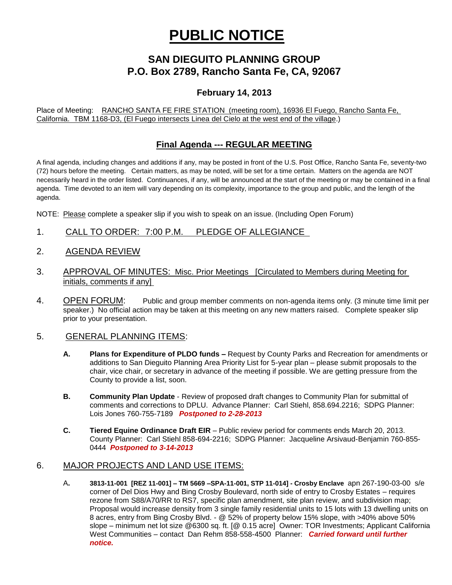# **PUBLIC NOTICE**

# **SAN DIEGUITO PLANNING GROUP P.O. Box 2789, Rancho Santa Fe, CA, 92067**

# **February 14, 2013**

Place of Meeting: RANCHO SANTA FE FIRE STATION (meeting room), 16936 El Fuego, Rancho Santa Fe, California. TBM 1168-D3, (El Fuego intersects Linea del Cielo at the west end of the village.)

## **Final Agenda --- REGULAR MEETING**

A final agenda, including changes and additions if any, may be posted in front of the U.S. Post Office, Rancho Santa Fe, seventy-two (72) hours before the meeting. Certain matters, as may be noted, will be set for a time certain. Matters on the agenda are NOT necessarily heard in the order listed. Continuances, if any, will be announced at the start of the meeting or may be contained in a final agenda. Time devoted to an item will vary depending on its complexity, importance to the group and public, and the length of the agenda.

NOTE: Please complete a speaker slip if you wish to speak on an issue. (Including Open Forum)

- 1. CALL TO ORDER: 7:00 P.M. PLEDGE OF ALLEGIANCE
- 2. AGENDA REVIEW
- 3. APPROVAL OF MINUTES: Misc. Prior Meetings [Circulated to Members during Meeting for initials, comments if any]
- 4. OPEN FORUM: Public and group member comments on non-agenda items only. (3 minute time limit per speaker.) No official action may be taken at this meeting on any new matters raised. Complete speaker slip prior to your presentation.

#### 5. GENERAL PLANNING ITEMS:

- **A. Plans for Expenditure of PLDO funds –** Request by County Parks and Recreation for amendments or additions to San Dieguito Planning Area Priority List for 5-year plan – please submit proposals to the chair, vice chair, or secretary in advance of the meeting if possible. We are getting pressure from the County to provide a list, soon.
- **B. Community Plan Update** Review of proposed draft changes to Community Plan for submittal of comments and corrections to DPLU. Advance Planner: Carl Stiehl, 858.694.2216; SDPG Planner: Lois Jones 760-755-7189 *Postponed to 2-28-2013*
- **C. Tiered Equine Ordinance Draft EIR**  Public review period for comments ends March 20, 2013. County Planner: Carl Stiehl 858-694-2216; SDPG Planner: Jacqueline Arsivaud-Benjamin 760-855- 0444 *Postponed to 3-14-2013*

### 6. MAJOR PROJECTS AND LAND USE ITEMS:

A**. 3813-11-001 [REZ 11-001] – TM 5669 –SPA-11-001, STP 11-014] - Crosby Enclave** apn 267-190-03-00 s/e corner of Del Dios Hwy and Bing Crosby Boulevard, north side of entry to Crosby Estates – requires rezone from S88/A70/RR to RS7, specific plan amendment, site plan review, and subdivision map; Proposal would increase density from 3 single family residential units to 15 lots with 13 dwelling units on 8 acres, entry from Bing Crosby Blvd. - @ 52% of property below 15% slope, with >40% above 50% slope – minimum net lot size @6300 sq. ft. [@ 0.15 acre] Owner: TOR Investments; Applicant California West Communities – contact Dan Rehm 858-558-4500 Planner: *Carried forward until further notice.*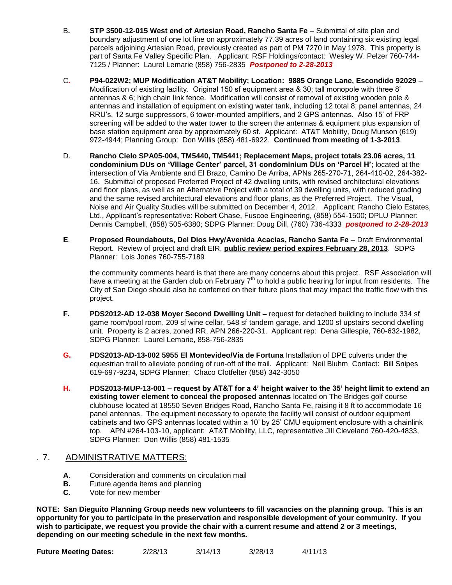- B**. STP 3500-12-015 West end of Artesian Road, Rancho Santa Fe** Submittal of site plan and boundary adjustment of one lot line on approximately 77.39 acres of land containing six existing legal parcels adjoining Artesian Road, previously created as part of PM 7270 in May 1978. This property is part of Santa Fe Valley Specific Plan.Applicant: RSF Holdings/contact: Wesley W. Pelzer 760-744- 7125 / Planner: Laurel Lemarie (858) 756-2835 *Postponed to 2-28-2013*
- C**. P94-022W2; MUP Modification AT&T Mobility; Location: 9885 Orange Lane, Escondido 92029** Modification of existing facility. Original 150 sf equipment area & 30; tall monopole with three 8' antennas & 6; high chain link fence. Modification will consist of removal of existing wooden pole & antennas and installation of equipment on existing water tank, including 12 total 8; panel antennas, 24 RRU's, 12 surge suppressors, 6 tower-mounted amplifiers, and 2 GPS antennas. Also 15' of FRP screening will be added to the water tower to the screen the antennas & equipment plus expansion of base station equipment area by approximately 60 sf. Applicant: AT&T Mobility, Doug Munson (619) 972-4944; Planning Group: Don Willis (858) 481-6922. **Continued from meeting of 1-3-2013**.
- D. **Rancho Cielo SPA05-004, TM5440, TM5441; Replacement Maps, project totals 23.06 acres, 11 condominium DUs on 'Village Center' parcel, 31 condominium DUs on 'Parcel H'**; located at the intersection of Via Ambiente and El Brazo, Camino De Arriba, APNs 265-270-71, 264-410-02, 264-382- 16. Submittal of proposed Preferred Project of 42 dwelling units, with revised architectural elevations and floor plans, as well as an Alternative Project with a total of 39 dwelling units, with reduced grading and the same revised architectural elevations and floor plans, as the Preferred Project. The Visual, Noise and Air Quality Studies will be submitted on December 4, 2012. Applicant: Rancho Cielo Estates, Ltd., Applicant's representative: Robert Chase, Fuscoe Engineering, (858) 554-1500; DPLU Planner: Dennis Campbell, (858) 505-6380; SDPG Planner: Doug Dill, (760) 736-4333 *postponed to 2-28-2013*
- **E**. **Proposed Roundabouts, Del Dios Hwy/Avenida Acacias, Rancho Santa Fe** Draft Environmental Report. Review of project and draft EIR, **public review period expires February 28, 2013**. SDPG Planner: Lois Jones 760-755-7189

the community comments heard is that there are many concerns about this project. RSF Association will have a meeting at the Garden club on February  $7<sup>th</sup>$  to hold a public hearing for input from residents. The City of San Diego should also be conferred on their future plans that may impact the traffic flow with this project.

- **F. PDS2012-AD 12-038 Moyer Second Dwelling Unit –** request for detached building to include 334 sf game room/pool room, 209 sf wine cellar, 548 sf tandem garage, and 1200 sf upstairs second dwelling unit. Property is 2 acres, zoned RR, APN 266-220-31. Applicant rep: Dena Gillespie, 760-632-1982, SDPG Planner: Laurel Lemarie, 858-756-2835
- **G. PDS2013-AD-13-002 5955 El Montevideo/Via de Fortuna** Installation of DPE culverts under the equestrian trail to alleviate ponding of run-off of the trail. Applicant: Neil Bluhm Contact: Bill Snipes 619-697-9234, SDPG Planner: Chaco Clotfelter (858) 342-3050
- **H. PDS2013-MUP-13-001 – request by AT&T for a 4' height waiver to the 35' height limit to extend an existing tower element to conceal the proposed antennas** located on The Bridges golf course clubhouse located at 18550 Seven Bridges Road, Rancho Santa Fe, raising it 8 ft to accommodate 16 panel antennas. The equipment necessary to operate the facility will consist of outdoor equipment cabinets and two GPS antennas located within a 10' by 25' CMU equipment enclosure with a chainlink top. APN #264-103-10, applicant: AT&T Mobility, LLC, representative Jill Cleveland 760-420-4833, SDPG Planner: Don Willis (858) 481-1535

### . 7. ADMINISTRATIVE MATTERS:

- **A**. Consideration and comments on circulation mail
- **B.** Future agenda items and planning<br>**C.** Vote for new member
- **C.** Vote for new member

**NOTE: San Dieguito Planning Group needs new volunteers to fill vacancies on the planning group. This is an opportunity for you to participate in the preservation and responsible development of your community. If you wish to participate, we request you provide the chair with a current resume and attend 2 or 3 meetings, depending on our meeting schedule in the next few months.**

**Future Meeting Dates:** 2/28/13 3/14/13 3/28/13 4/11/13